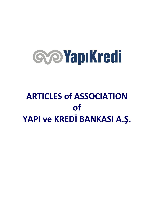# **Gye Yapıkredi**

# **ARTICLES of ASSOCIATION of YAPI ve KREDİ BANKASI A.Ş.**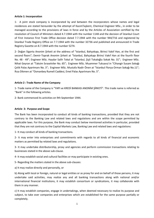## **Article 1: Incorporation**

1- A joint stock company is incorporated by and between the incorporators whose names and legal residences are stated hereunder by the attempt of KazımTaşkent, Chemical Engineer MSc., in order to be managed according to the provisions of laws in force and by the Articles of Association certified by the resolution of Council of Ministers dated 4.7.1944 with the number 1148 and the decision of İstanbul Court of First Instance First Trade Office decision dated 7.7.1944 with the number 944/716 and registered by İstanbul Trade Registry Office on 7.7.1944 with the number 32736 and published and announced in Trade Registry Gazette on 8.7.1944 with the number 5274.

2- Doğan Sigorta Anonim Şirketi at the address of "Istanbul, Bahçekapı, Birinci Vakıf Han, at the first and second floors"; Demir-Toprak Anonim Şirketi at "İstanbul, Bahçekapı Birinci Vakıf Han at the fourth floor No. 48 - 49"; Engineer MSc. Haydar Salih Tokal at "İstanbul, Şişli Tokaloğlu Sokak No. 31"; Engineer MSc. Nihat Geyran at "Taksim Sıraselviler No. 65"; Engineer MSc. Muammer Tuksavul in "Cihangir Susam Sokağı Çelik Palas Apartmanı No. 3"; Engineer MSc. Mustafa Nadir Önen at "İstanbul Florya Orman Sokağı No.11"; Rıza Dikmen at "Osmanbey Rumeli Caddesi, Emel Palas Apartmanı No. 5".

# **Article 2 : Trade Name of the Company**

1- Trade name of the Company is "YAPI ve KREDİ BANKASI ANONİM ŞİRKETİ". This trade name is referred as "Bank" in the following articles.

2- Bank commenced its activities on 9th September 1944.

# **Article 3: Purpose and Scope**

The Bank has been incorporated to conduct all kinds of banking transactions, provided that they are not contrary to the Banking Law and related laws and regulations and are within the scope permitted by applicable laws. For this purpose, the Bank may conduct below mentioned activities in particular, provided that they are not contrary to the Capital Markets Law, Banking Law and related laws and regulations:

1- It may conduct all kinds of banking transactions.

2- It may enter into enterprises and commitments with regards to all kinds of financial and economic matters as permitted by related laws and regulations.

3- It may undertake distributorship, proxy and agencies and perform commission transactions relating to businesses stated in the above sub-clause.

4- It may establish social and cultural facilities or may participate in existing ones.

5- Regarding the matters stated in the above sub-clauses:

a) It may realize directly and personally, or

b) Along with local or foreign, natural or legal entities or as proxy for and on behalf of those persons, it may undertake said activities, may realize any and all banking transactions along with national and/or international financial institutions, it may establish consortium or syndications, it may collaborate with them in any manner.

c) It may establish companies, engage in undertakings, when deemed necessary to realize its purpose and subject, to take over companies and enterprises which are established for the same purpose partially or completely.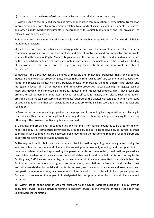d) It may purchase the shares of existing companies and may sell them when necessary.

6- Within scope of the obtained licences, it may conduct order communication intermediation, transaction intermediation and portfolio intermediation relating to all kinds of securities, debt instruments, derivatives and other Capital Market Instruments in accordance with Capital Markets Law and the provisions of relevant laws and regulations,

7- It may make transactions based on movable and immovable assets within the framework of below mentioned provisions;

a) Bank may not carry out activities regarding purchase and sale of immovable and movable assets for commercial purposes, except for the purchase and sale of contracts based on immovable and movable assets within the scope of Capital Markets Legislation and the precious metals to be deemed as appropriate by the Capital Markets Board; may not participate in partnerships, main field of activities of which is trading of immovable assets, except for mortgage housing loan institutions and immovable investment partnerships.

b) However, the Bank may acquire all kinds of movable and immovable properties, rights and especially industrial and intellectual property rights, limited rights in rem such as usufruct, easement and construction rights and receivable rights; may sell, transfer, pledge or mortgage them to others; take pledge and mortgage in favour of itself on movable and immovable properties; release existing mortgages; lease or lease out movable and immovable properties, industrial and intellectual property rights; have lease and promise to sell agreements annotated in favour of itself to land registry and release such annotations, provided that it makes necessary announcements required by the Capital Markets Board within the scope of special situations and that such activities are not contrary to the Banking Law and other related laws and regulations,

c) Bank may acquire immovable properties for the purposes of conducting banking activities or collecting its receivables within the scope of legal limits and may dispose of them by selling, exchanging them and by other ways. The provisions of Banking Law are reserved.

8- Bank may import all kinds of commodities and materials from foreign countries to be used for its own needs and may sell commercial commodities, acquired by it due to its receivables, to buyers in other countries if such commodities are exported. Bank may obtain the documents required for said export and import transactions from relevant authorities.

9- The required public disclosures are made, and the information regarding donations granted during the year are submitted to the shareholders in the annual general assembly meeting, and the upper limit of donations is determined and approved by the general assembly of shareholders, the donations granted are taken into consideration in calculation of the distributable profit , and provided that is not contrary to the Banking Law, CMB Law and related legislation and are within the scope permitted by applicable laws the Bank may make donations and grants to foundations, associations, universities and similar other institutions established for social and charitable purposes, and may enroll in societies and associations, and may participate in foundations, in a manner not to interfere with its activities within its scope and purpose. Donations in excess of the upper limit designated by the general assembly of shareholders are not permitted.

10- Within scope of the permits acquired pursuant to the Capital Markets Legislation, it may provide consulting services, realize activities relating to ancillary services in line with the principles set out by the Capital Markets Legislation.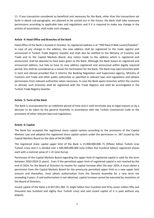11- If any transaction considered as beneficial and necessary for the Bank, other than the transactions set forth in above sub-paragraphs, are planned to be carried out in the future; the Bank shall take necessary permissions according to applicable laws and regulations and if it is required to make any change in the articles of association, shall make such changes.

# **Article 4: Head Office and Branches of the Bank**

Head office of the Bank is located in İstanbul. Its registered address is at "YKB Plaza D Blok Levent/İstanbul". In case of any change in the address, the new address shall be registered to the trade registry and announced in Turkish Trade Registry Gazette and shall also be notified to the Ministry of Customs and Trade and to the Capital Markets Board. Any notice made to the address which is registered and announced, shall be deemed to have been given to the Bank. Although the Bank leaves its registered and announced address, but fails to have its new address registered and announced within legally required period, this shall be considered as a reason for termination for the Bank. The Bank may open branches both in land and abroad provided that it informs the Banking Regulation and Supervision Agency, Ministry of Customs and Trade and other public authorities as specified in relevant laws and regulations and obtains permissions from relevant authorities when necessary. In case the Bank opens branches within the country or abroad, such branches shall be registered with the Trade Registry and shall be promulgated in the Turkish Trade Registry Gazette.

# **Article 5: Term of the Bank**

The Bank is incorporated for an indefinite period of time and it shall terminate due to legal reasons or by a decision to be taken by the general Assembly in accordance with the Turkish Commercial Code or the provisions of other relevant laws and regulations.

# **Article 6: Capital**

The Bank has accepted the registered share capital system according to the provisions of the Capital Markets Law and adopted the registered share capital system under the permission nr. 567 issued by the Capital Markets Board on the date of 04.04.2008.

The registered share capital upper limit of the Bank is 15.000.000.000.-TL (fifteen billion Turkish Liras Turkish Liras) and it is divided into 1.500.000.000.000 (one trillion five hundred billion) registered shares each with a nominal value of 1.-Kr (one Kuruş).

Permission of the Capital Markets Board regarding the upper limit of registered capital is valid for the term between 2020-2024 (5 years). Even if the permitted upper limit of registered capital is not reached by the end of 2024; for the Board of Directors to resolve for capital increase after the year 2024, it must obtain a permission from the Capital Markets Board for the previously permitted upper limit or a new upper limit amount and thereafter, must obtain authorization from the General Assembly for a new term not exceeding 5 years. If said authorization is not obtained, capital increase cannot be executed by resolution of the Board of Directors.

Issued capital of the Bank is 8.447.051.284.-TL (eight billion four hundred and forty seven million fifty one thousand two hundred and eighty four Turkish Liras) and said issued capital of it is paid without any dispute.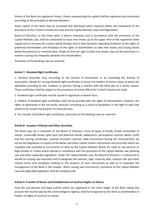Shares of the Bank are registered shares. Shares representing the capital shall be registered and monitored according to the principles of dematerialization.

Share capital of the Bank may be increased and decreased when required within the framework of the provisions of the Turkish Commercial Code and the Capital Markets Laws and Regulations.

Board of Directors, at the times when it deems necessary and in accordance with the provisions of the Capital Markets Law, shall be authorised to issue new shares up to the upper limit of the registered share capital and to increase the issued capital thereby and to take decisions regarding limitation of the rights of preferred shareholders and limitation of the rights of shareholders to take new shares and issuing shares below the premium or nominal value. Power to limit the right to take new shares, may not be exercised in a manner causing any inequality between the shareholders.

Provisions of the Banking Law are reserved.

# **Article 7: Dividend Right Certificates**

1- General Assembly may, according to the Articles of Association or by amending the Articles of Association, decide for issuing dividend right certificates in favour the holders of shares values of which are abolished according to law, creditors or persons having a relation with the Bank due to a similar reason. These certificates shall be subject to the provisions of article 348 of the Turkish Commercial Code.

2- Dividend right certificates may be issued in registered or bearer form.

3- Holders of dividend right certificates shall not be granted with the rights of shareholders; however, the rights to participate in the net profit, amounts remaining as a result of liquidation or the right to take new shares to be issued may be given to these persons.

4- For transfer of dividend right certificates, provisions of the Banking Law are reserved.

## **Article 8: Issuance of Bonds and Other Securities**

The Bank may, by a resolution of the Board of Directors, issue all types of bonds, bonds convertible to shares, convertible bonds, gold silver and platinum bonds, debentures, participation usufruct deeds, profit and loss sharing certificates, covered securities, warrant, debt instruments having the characteristics set out by the Regulation on Equity of the Banks and other capital market instruments and securities which are classified and accepted as instruments of debt by the Capital Markets Board, for sales to real persons or legal entities in Turkey and/or abroad in compliance with the provisions of the Capital Market Law, Banking Law and other applicable legislation. Under the Capital Market Law, the Board of Directors is authorized to decide for issuing said securities and to designate the amount, type, maturity date, interest rate and other related terms and conditions relating to the issuance of such instruments as well as to empower the management of the Bank in this respect. When issuing said instruments, provisions of the Capital Markets Law and applicable legislation shall be complied with.

# **Article 9: Transfer of Shares and Establishment of Usufruct Rights on Shares**

Only the real persons and legal entities which are registered in the share ledger of the Bank taking into account the records kept by the Central Registry Agency, shall be recognized by the Bank as shareholders or holders of rights of usufruct on shares.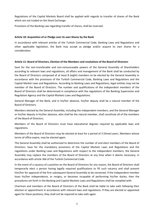Regulations of the Capital Markets Board shall be applied with regards to transfer of shares of the Bank which are not traded on the Stock Exchange.

Provisions of the Banking Law regarding transfer of shares, shall be reserved.

# **Article 10: Acquisition of or Pledge over its own Shares by the Bank**

In accordance with relevant articles of the Turkish Commercial Code, Banking Laws and Regulations and other applicable legislation, the Bank may accept as pledge and/or acquire its own shares for a consideration.

# **Article 11: Board of Directors, Election of the Members and resolutions of the Board of Directors**

Save for the non-transferable and non-renounceable powers of the General Assembly of Shareholders according to relevant laws and regulations, all affairs and management of the Bank shall be conducted by the Board of Directors composed of at least 8 (eight) members to be elected by the General Assembly in accordance with the provisions of the Turkish Commercial Code, Banking Laws and Regulations and the Capital Market Laws and Regulations. According to Banking Laws and Regulations, legal entities may not be member of the Board of Directors. The number and qualifications of the independent members of the Board of Directors shall be determined in compliance with the regulations of the Banking Supervision and Regulation Agency and the Capital Markets Laws and Regulations.

General Manager of the Bank, and in his/her absence, his/her deputy shall be a natural member of the Board of Directors.

Members elected by the General Assembly, including the independent members, and the General Manager or his/her deputy in his/her absence, who shall be the natural member, shall constitute all of the members of the Board of Directors.

Members of the Board of Directors must have educational degrees required by applicable laws and regulations.

Members of the Board of Directors may be elected at least for a period of 3 (three) years. Members whose terms of office expire, may be elected again.

The General Assembly shall be authorized to determine the number of and elect members of the Board of Directors. Save for the mandatory provisions of the Capital Markets Laws and Regulations and the regulations under Banking Laws and Regulations with respect to the independent members, the General Assembly may replace the members of the Board of Directors at any time when it deems necessary, in accordance with article 364 of the Turkish Commercial Code.

In the event of a vacancy of a position on the Board of Directors for any reason, the Board of Directors shall temporarily elect a person having legally required qualifications to fill such vacancy and shall present him/her for approval of the first subsequent General Assembly to be convened. If the independent member loses his/her independence, or resigns, or becomes incapable of performing his/her duties, then the procedures set forth in the Banking and Capital Markets Laws and Regulations shall be complied with.

Chairman and members of the Board of Directors of the Bank shall be liable to take oath following their election or appointment in accordance with relevant laws and regulations. If they are elected or appointed again for these positions, they shall not be required to take oath again.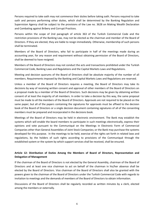Persons required to take oath may not commence their duties before taking oath. Persons required to take oath and persons performing other duties, which shall be determined by the Banking Regulation and Supervision Agency shall be subject to the provisions of the Law no. 3628 on Making Wealth Declaration and Combating against Bribery and Corrupt Practices.

Persons within the scope of 2nd paragraph of article 363 of the Turkish Commercial Code and the restriction provisions of the Banking Law, may not be elected as the chairman and member of the Board of Directors. If they are elected, they are liable to resign immediately. Otherwise, membership of such persons shall be terminated.

Members of the Board of Directors, who fail to participate in half of the meetings made during an accounting year, for any reason and requirement without obtaining permission of the Board of Directors, shall be deemed to have resigned.

Members of the Board of Directors may not conduct the acts and transactions prohibited under the Turkish Commercial Code, Banking Laws and Regulations and the Capital Markets Laws and Regulations.

Meeting and decision quorums of the Board of Directors shall be absolute majority of the number of all members. Requirements imposed by the Banking and Capital Markets Laws and Regulations are reserved.

Unless a member of the Board of Directors requires a meeting, the Board of Directors may take its decisions by way of receiving written consent and approval of other members of the Board of Directors on a proposal made by a member of the Board of Directors. Such decisions may be given by obtaining written consent of at least the majority of all members. In order to take a decision by this way, the same proposal must be made to all the members of the Board of Directors. Approvals are not required to be placed on the same paper; but all of the papers containing the signatures for approvals must be affixed to the decision book of the Board of Directors or a single decision document containing signatures of all of the consenting members must be prepared and incorporated in the decisions book.

Meetings of the Board of Directors may be held in electronic environment. The Bank may establish the systems which will enable the board members to participate in such meetings electronically, express their opinions and vote pursuant to the Communiqué on the Meetings in Electronic Form of Commercial Companies other than General Assemblies of Joint Stock Companies; or the Bank may purchase the systems developed for this purpose. In the meetings to be held, exercise of the rights set forth in related laws and regulations, by the holders of such rights according to provisions of the Communiqué through the established system or the system by which support services shall be received, shall be ensured.

# **Article 12: Distribution of Duties Among the Members of Board of Directors, Representation and Delegation of Management**

If the chairman of the Board of Directors is not elected by the General Assembly, chairman of the Board of Directors and at least one vice chairman to act on behalf of the chairman in his/her absence shall be elected by the Board of Directors. Vice chairman of the Board of Directors shall also be granted with the powers given to the chairman of the Board of Directors under the Turkish Commercial Code with regards to invitation to meetings and the demands of members of the Board of Directors to obtain information.

Discussions of the Board of Directors shall be regularly recorded as written minutes by a clerk, elected among the members or externally.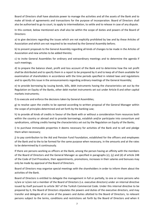Board of Directors shall have absolute power to manage the activities and all the assets of the Bank and to make all kinds of agreements and transactions for the purpose of incorporation. Board of Directors shall also be authorised to go to court, to apply to intermediation, to settle and to release in case of any dispute.

In this context, below mentioned acts shall also be within the scope of duties and powers of the Board of Directors:

a) to give decisions regarding the issues which are not explicitly prohibited by law and by these Articles of Association and which are not required to be resolved by the General Assembly before;

b) to present proposals to the General Assembly regarding all kinds of changes to be made in the Articles of Association and new articles to be added thereto;

c) to invite General Assemblies for ordinary and extraordinary meetings and to determine the agenda if such meetings;

d) to prepare the balance sheet, profit and loss account of the Bank and to determine how the net profit shall be distributed and to specify them in a report to be prepared by it and to keep all of them available for examination of shareholders in accordance with the time periods specified in related laws and regulations and to specify this issue in the announcements regarding ordinary meetings of the General Assembly;

e) to provide borrowing by issuing bonds, bills, debt instruments having the characteristics set out by the Regulation on Equity of the Banks, other debt market instruments set out under Article 8 and other capital markets instruments;

f) to execute and enforce the decisions taken by General Assemblies;

g) to resolve upon the credits to be opened according to written proposal of the General Manager within the scope of principles determined and set forth by the banking Law;

h) to provide all kinds of credits in favour of the Bank with or without a consideration from resources both within the country or abroad and to provide borrowings, establish and/or participate into consortium and syndications, utilising credits having the characteristics set out by the Regulation on Equity of the Banks;

i) to purchase immovable properties it deems necessary for activities of the Bank and to sell and pledge them when necessary;

j) to pay contribution to the Aid and Pension Fund Foundation, established for the officers and employees of the Bank and to the to be formed for the same purpose when necessary, in the amounts and at the rates to be determined by it continuously.

If there are persons working as officers at the Bank, among the person having an affinity with the members of the Board of Directors and the General Manager as specified in paragraphs (c), (ç) and (d) of article 248 of the Code of Civil Procedure, their appointments, promotions, increases in their salaries and bonuses may only be made by approval of the Board of Directors.

Board of Directors may organise special meetings with the shareholders in order to inform them about the activities of the Bank.

Board of Directors is entitled to delegate the management in full or partially, to one or more persons who is/are or is/are not a member of the Board of Directors (i.e. executive directors) under an internal directive issued by itself pursuant to article 367 of the Turkish Commercial Code. Under this internal directive to be prepared by it, the Board of Directors stipulates the powers and duties of the executive directors, and may transfer and delegate all or some of the powers and duties allotted to the Board of Directors, to relevant persons subject to the terms, conditions and restrictions set forth by the Board of Directors and when it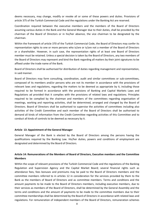deems necessary, may change, modify or revoke all or some of these powers and duties. Provisions of article 375 of the Turkish Commercial Code and the regulations under the Banking Act are reserved.

Coordination required between the executive members and the members of the Board of Directors assuming various duties in the Bank and the General Manager due to their duties, shall be provided by the chairman of the Board of Directors or in his/her absence, the vice chairman to be designated by the chairman.

Within the framework of article 370 of the Turkish Commercial Code, the Board of Directors may confer its representation rights to one or more persons who is/are or is/are not a member of the Board of Directors or a shareholder. However, in such case, the representation rights of at least one Board of Directors member must be retained. Unless a special decision is taken by the Board of Directors, any two members of the Board of Directors may represent and bind the Bank regarding all matters by their joint signatures to be affixed under the trade name of the Bank.

Board of Directors shall be authorised for distribution of duties regarding management and representation, in said manner.

Board of Directors may form consulting, coordination, audit and similar committees or sub-committees, composed of its members and/or persons who are not its member in accordance with the provisions of relevant laws and regulations, regarding the matters to be deemed as appropriate by it, including those required to be formed in accordance with the provisions of Banking and Capital Markets Laws and Regulations ad provided that it complies with the provisions of related laws and regulations. Principles required to be complied by the chairman and members of the committees regarding organisation of meetings, working and reporting activities, shall be determined, arranged and changed by the Board of Directors. Board of Directors shall be authorised to supervise the activities of committees including also activities of the Credit Committee and each member of the Board of Directors shall be authorised to demand all kinds of information from the Credit Committee regarding activities of this Committee and to conduct all kinds of controls to be deemed as necessary by it.

## **Article 13: Appointment of the General Manager**

General Manager of the Bank is elected by the Board of Directors among the persons having the qualifications required by the Banking Law. His/her duties, powers and conditions of employment are designated and determined by the Board of Directors.

# **Article 14: Remunerations of the Members of Board of Directors, Executive members and the Committee Members**

Within the scope of relevant provisions of the Turkish Commercial Code and the regulations of the Banking Regulation and Supervision Agency and the Capital Market Board; several financial rights such as attendance fees, fees bonuses and premiums may be paid to the Board of Directors members and the committee members referred to in articles 12 in consideration for the services provided by them to the Bank as the members of Board of Directors and as committee members. Terms and conditions and the amount payments to be made to the Board of Directors members, including executive members, due to their services as members of the Board of Directors, shall be determined by the General Assembly and the terms and conditions and the amount of payments to be made to the committee members due to their committee memberships shall be determined by the Board of Directors in accordance with related laws and regulations. For remuneration of independent members of the Board of Directors, remuneration schemes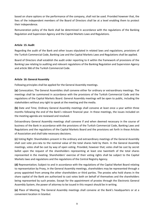based on share options or the performance of the company, shall not be used. Provided however that, the fees of the independent members of the Board of Directors shall be at a level enabling them to protect their independence.

Remuneration policy of the Bank shall be determined in accordance with the regulations of the Banking Regulation and Supervision Agency and the Capital Markets Laws and Regulations.

# **Article 15: Audit**

Regarding the audit of the Bank and other issues stipulated in related laws and regulations, provisions of the Turkish Commercial Code, Banking Law and the Capital Markets Laws and Regulations shall be applied.

Board of Directors shall establish the audit order reporting to it within the framework of provisions of the Banking Law relating to auditing and relevant regulations of the Banking Regulation and Supervision Agency and article 366 of the Turkish Commercial Code.

# **Article 16: General Assembly**

Following principles shall be applied for the General Assembly meetings.

**(a)** Convocation; The General Assemblies shall convene either for ordinary or extraordinary meetings. The meetings shall be summoned in accordance with the provisions of the Turkish Commercial Code and the regulations of the Capital Markets Board. General Assembly meetings will be open to public, including the stakeholders without any right to speak at the meeting and the media.

**(b)** Date and Time; Ordinary General Assembly meetings shall convene at least once a year within three months following the end of the Bank's relevant financial year. In these meetings, the issues included on the meeting agenda are reviewed and resolved.

Extraordinary General Assembly meetings shall convene if and when deemed necessary in the course of business of the Bank in accordance with the provisions of the Turkish Commercial Code, Banking Laws and Regulations and the regulations of the Capital Markets Board and the provisions set forth in these Articles of Association and shall take necessary decisions.

**(c)** Voting Right: Shareholders present in the ordinary and extraordinary meetings of the General Assembly shall cast vote pro-rata to the nominal value of the total shares held by them. In the General Assembly meetings, votes shall be cast by way of open voting. Provided, however that; votes shall be cast by secret ballot upon the request of the shareholders representing at least one twentieth of the total shares represented in the meeting. Shareholders' exercise of their voting rights shall be subject to the Capital Markets laws and regulations and the regulations of the Central Registry Agency.

**(d)** Representation; Subject to and in accordance with the regulations of the Capital Market Board relating to representation by Proxy, in the General Assembly meetings, shareholders may be represented through a proxy appointed from among the other shareholders or third parties. The proxies who hold shares in the share capital of the Bank are authorized to cast votes both on behalf of themselves and the shareholders being represented by such proxies. Except for the appointment of proxies through the Electronic General Assembly System, the power of attorney to be issued in this respect should be in writing.

**(e)** Place of Meeting; The General Assembly meetings shall convene at the Bank's headquarters or at a convenient location in İstanbul.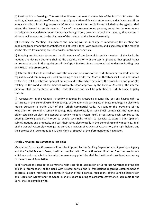**(f)** Participation in Meetings; The executive directors, at least one member of the Board of Directors, the auditor, at least one of the officers in charge of preparation of financial statements, and at least one officer who is capable of furnishing necessary information about the specific issues included on the agenda, shall attend the General Assembly meeting. If any of the abovementioned persons, except for the ones whose participation is mandatory under the applicable legislation, does not attend the meeting, the reasons of absence will be reported by the chairman of the meeting to the General Assembly.

**(g)** Presiding the Meeting; Chairman of the meeting will be in charge of moderating the meeting and appointed from among the shareholders and at least 1 (one) vote-collector, and a secretary of the meeting will be elected from among the shareholders or from third parties.

**h)** Meeting and Decision Quorums; In all meetings of the General Assembly meetings of the Bank, the meeting and decision quorums shall be the absolute majority of the capital, provided that special higher quorums stipulated in the regulations of the Capital Markets Board and regulated under the Banking Laws and Regulations are reserved.

**(ı)** Internal Directive; In accordance with the relevant provisions of the Turkish Commercial Code and the regulations and communiqués issued according to said Code, the Board of Directors shall issue and submit to the General Assembly for approval an internal directive which sets forth the procedures and principles relating to the conduct of the General Assembly. Upon approval by the General Assembly, the internal directive shall be registered with the Trade Registry and shall be published in Turkish Trade Registry Gazette.

**(i)** Participation in the General Assembly Meetings by Electronic Means; The persons having right to participate in the General Assembly meetings of the Bank may participate in these meetings via electronic means pursuant to article 1527 of the Turkish Commercial Code. Pursuant to the provisions of the Regulation on General Assembly Meetings Held Electronically in Joint-Stock Companies, the Bank may either establish an electronic general assembly meeting system itself, or outsource such services to the existing service providers, in order to enable such right holders to participate, express their opinions, submit motions and proposals, and cast their votes electronically in the General Assembly meetings. In all of the General Assembly meetings, as per this provision of Articles of Association, the right holders and their proxies shall be entitled to use their rights arising out of the aforementioned Regulation.

# **Article 17: Corporate Governance Principles**

Mandatory Corporate Governance Principles imposed by the Banking Regulation and Supervision Agency and the Capital Markets Board, shall be complied with. Transactions and Board of Directors resolutions which are not conducted in line with the mandatory principles shall be invalid and considered as contrary to the Articles of Association.

In all transactions considered as material with regards to application of Corporate Governance Principles and in all transactions of the Bank with related parties and in transactions regarding establishment of collateral, pledge, mortgage and surety in favour of third parties, regulations of the Banking Supervision and Regulation Agency and the Capital Markets Board relating to corporate governance, applicable to the Bank, shall be complied with.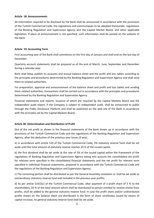## **Article 18: Announcements**

All information required to be disclosed by the Bank shall be announced in accordance with the provisions of the Turkish Commercial Code, the regulations and communiqués to be adopted thereunder, regulations of the Banking Regulation and Supervision Agency and the Capital Market Board, and other applicable legislation. If place of announcement is not specified, such information shall be posted on the website of the Bank.

# **Article 19: Accounting Term**

First accounting year of the Bank shall commence on the first day of January and shall end on the last day of December.

Quarterly account statements shall be prepared as of the end of March, June, September and December during a calendar year.

Bank shall keep, publish its accounts and annual balance sheet and the profit and loss tables according to the principles and procedures determined by the Banking Regulation and Supervision Agency and shall send them to related authorities.

For preparation, approval and announcement of the balance sheet and profit and loss tables and sending them related authorities, transactions shall be carried out in accordance with the principles and procedures determined by the Banking Regulation and Supervision Agency.

Financial statements and reports, issuance of which are required by the Capital Markets Board and the independent audit report, if the Company is subject to independent audit, shall be announced to public through the Public Disclosure Platform and shall be published on the web site of the Bank in accordance with the principles set by the Capital Markets Board.

# **Article 20: Determination and Distribution of Profit**

Out of the net profit as shown in the financial statements of the Bank drawn up in accordance with the provisions of the Turkish Commercial Code and the regulations of the Banking Regulation and Supervision Agency, after the deduction of the previous year losses (if any);

a) in accordance with article 519 of the Turkish Commercial Code, 5% statutory reserve fund shall be set aside until the total amount of statutory reserve reaches 20 % of the issued capital,

b) the first dividend shall be set aside at the rate of 5% of the issued capital within the framework of the regulations of Banking Regulation and Supervision Agency taking into account the consolidated net profit for relevant term specified in the consolidated financial statements and the net profit for relevant term specified in individual financial statements, prepared in accordance with the Turkish Commercial Code and the regulations of the Banking Regulation and Supervision Agency.

c) The remaining portion shall be distributed as per the General Assembly resolution or shall be set aside as extraordinary statutory reserve fund and included in the previous year profits.

d) As per article 519/2(c) of the Turkish Commercial Code, after payment of a profit share of 5 % to the shareholders, 10 % of the total amount which shall be distributed to person entitled to receive shares from profits, shall be added to the general statutory reserve fund. In case the profit share and/or undistributed profits shown on the balance sheet are distributed in the form of share certificates issued by means of capital increase, no general statutory reserve fund shall be set aside.